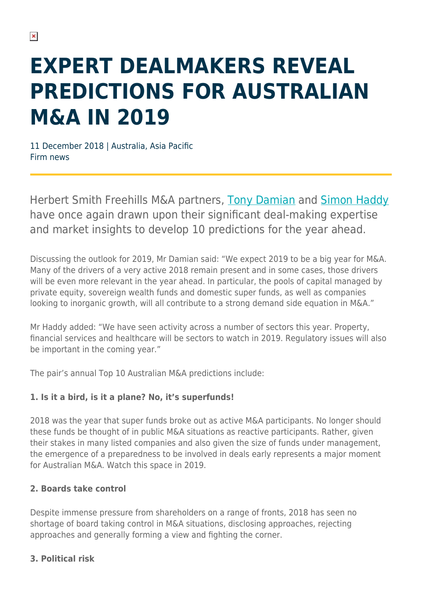# **EXPERT DEALMAKERS REVEAL PREDICTIONS FOR AUSTRALIAN M&A IN 2019**

11 December 2018 | Australia, Asia Pacific Firm news

Herbert Smith Freehills M&A partners, [Tony Damian](https://www.herbertsmithfreehills.com/our-people/tony-damian) and [Simon Haddy](https://www.herbertsmithfreehills.com/our-people/simon-haddy) have once again drawn upon their significant deal-making expertise and market insights to develop 10 predictions for the year ahead.

Discussing the outlook for 2019, Mr Damian said: "We expect 2019 to be a big year for M&A. Many of the drivers of a very active 2018 remain present and in some cases, those drivers will be even more relevant in the year ahead. In particular, the pools of capital managed by private equity, sovereign wealth funds and domestic super funds, as well as companies looking to inorganic growth, will all contribute to a strong demand side equation in M&A."

Mr Haddy added: "We have seen activity across a number of sectors this year. Property, financial services and healthcare will be sectors to watch in 2019. Regulatory issues will also be important in the coming year."

The pair's annual Top 10 Australian M&A predictions include:

## **1. Is it a bird, is it a plane? No, it's superfunds!**

2018 was the year that super funds broke out as active M&A participants. No longer should these funds be thought of in public M&A situations as reactive participants. Rather, given their stakes in many listed companies and also given the size of funds under management, the emergence of a preparedness to be involved in deals early represents a major moment for Australian M&A. Watch this space in 2019.

#### **2. Boards take control**

Despite immense pressure from shareholders on a range of fronts, 2018 has seen no shortage of board taking control in M&A situations, disclosing approaches, rejecting approaches and generally forming a view and fighting the corner.

#### **3. Political risk**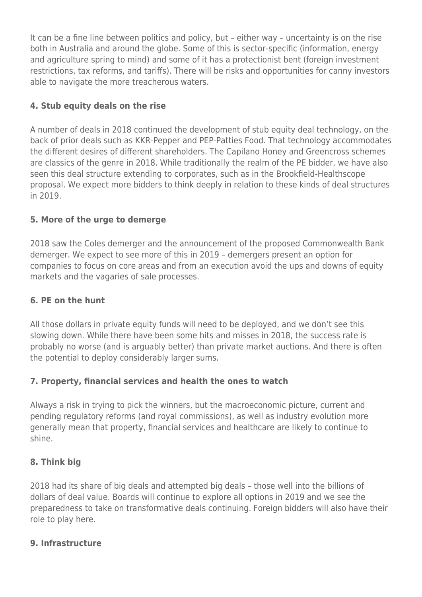It can be a fine line between politics and policy, but – either way – uncertainty is on the rise both in Australia and around the globe. Some of this is sector-specific (information, energy and agriculture spring to mind) and some of it has a protectionist bent (foreign investment restrictions, tax reforms, and tariffs). There will be risks and opportunities for canny investors able to navigate the more treacherous waters.

#### **4. Stub equity deals on the rise**

A number of deals in 2018 continued the development of stub equity deal technology, on the back of prior deals such as KKR-Pepper and PEP-Patties Food. That technology accommodates the different desires of different shareholders. The Capilano Honey and Greencross schemes are classics of the genre in 2018. While traditionally the realm of the PE bidder, we have also seen this deal structure extending to corporates, such as in the Brookfield-Healthscope proposal. We expect more bidders to think deeply in relation to these kinds of deal structures in 2019.

### **5. More of the urge to demerge**

2018 saw the Coles demerger and the announcement of the proposed Commonwealth Bank demerger. We expect to see more of this in 2019 – demergers present an option for companies to focus on core areas and from an execution avoid the ups and downs of equity markets and the vagaries of sale processes.

#### **6. PE on the hunt**

All those dollars in private equity funds will need to be deployed, and we don't see this slowing down. While there have been some hits and misses in 2018, the success rate is probably no worse (and is arguably better) than private market auctions. And there is often the potential to deploy considerably larger sums.

#### **7. Property, financial services and health the ones to watch**

Always a risk in trying to pick the winners, but the macroeconomic picture, current and pending regulatory reforms (and royal commissions), as well as industry evolution more generally mean that property, financial services and healthcare are likely to continue to shine.

#### **8. Think big**

2018 had its share of big deals and attempted big deals – those well into the billions of dollars of deal value. Boards will continue to explore all options in 2019 and we see the preparedness to take on transformative deals continuing. Foreign bidders will also have their role to play here.

#### **9. Infrastructure**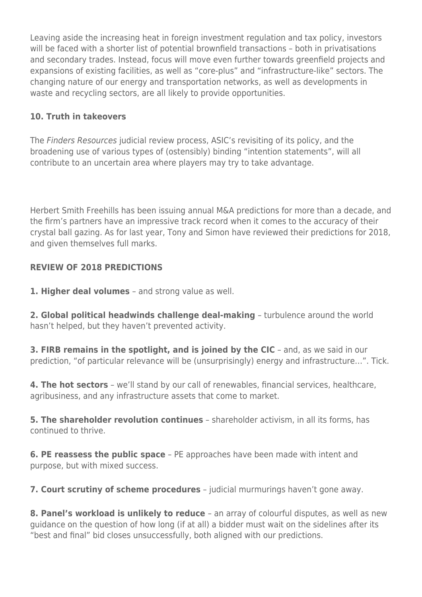Leaving aside the increasing heat in foreign investment regulation and tax policy, investors will be faced with a shorter list of potential brownfield transactions – both in privatisations and secondary trades. Instead, focus will move even further towards greenfield projects and expansions of existing facilities, as well as "core-plus" and "infrastructure-like" sectors. The changing nature of our energy and transportation networks, as well as developments in waste and recycling sectors, are all likely to provide opportunities.

#### **10. Truth in takeovers**

The Finders Resources judicial review process, ASIC's revisiting of its policy, and the broadening use of various types of (ostensibly) binding "intention statements", will all contribute to an uncertain area where players may try to take advantage.

Herbert Smith Freehills has been issuing annual M&A predictions for more than a decade, and the firm's partners have an impressive track record when it comes to the accuracy of their crystal ball gazing. As for last year, Tony and Simon have reviewed their predictions for 2018, and given themselves full marks.

#### **REVIEW OF 2018 PREDICTIONS**

**1. Higher deal volumes** – and strong value as well.

**2. Global political headwinds challenge deal-making** – turbulence around the world hasn't helped, but they haven't prevented activity.

**3. FIRB remains in the spotlight, and is joined by the CIC** - and, as we said in our prediction, "of particular relevance will be (unsurprisingly) energy and infrastructure…". Tick.

**4. The hot sectors** – we'll stand by our call of renewables, financial services, healthcare, agribusiness, and any infrastructure assets that come to market.

**5. The shareholder revolution continues** – shareholder activism, in all its forms, has continued to thrive.

**6. PE reassess the public space** – PE approaches have been made with intent and purpose, but with mixed success.

**7. Court scrutiny of scheme procedures** – judicial murmurings haven't gone away.

**8. Panel's workload is unlikely to reduce** – an array of colourful disputes, as well as new guidance on the question of how long (if at all) a bidder must wait on the sidelines after its "best and final" bid closes unsuccessfully, both aligned with our predictions.